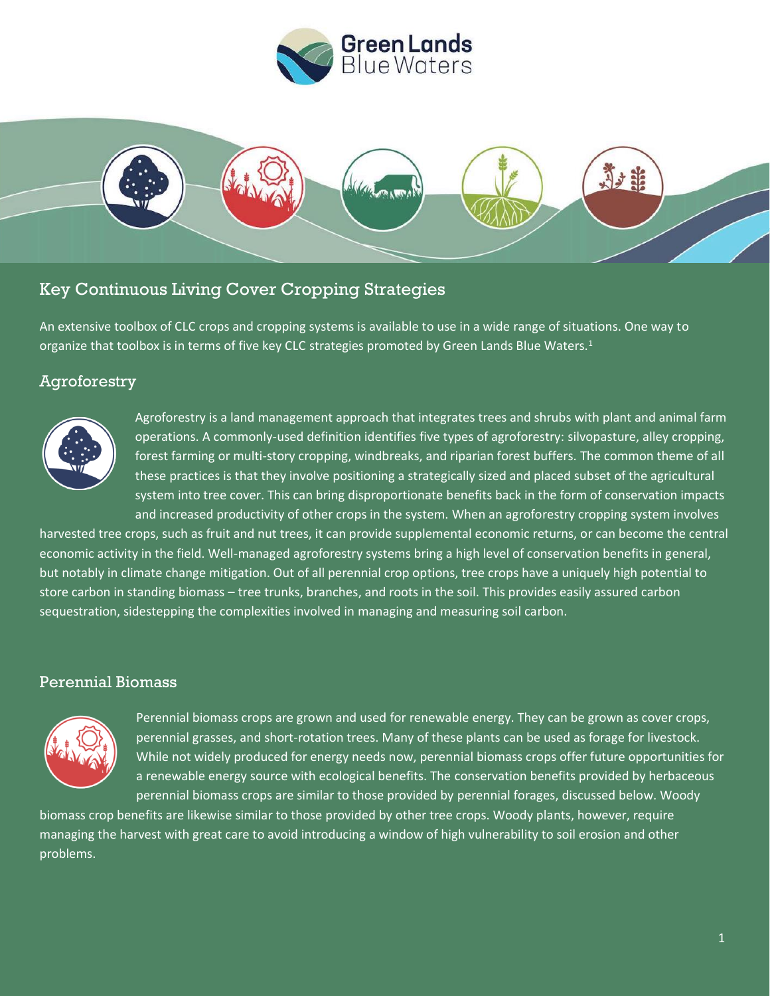



# Key Continuous Living Cover Cropping Strategies

An extensive toolbox of CLC crops and cropping systems is available to use in a wide range of situations. One way to organize that toolbox is in terms of five key CLC strategies promoted by Green Lands Blue Waters.<sup>1</sup>

### Agroforestry



Agroforestry is a land management approach that integrates trees and shrubs with plant and animal farm operations. A commonly-used definition identifies five types of agroforestry: silvopasture, alley cropping, forest farming or multi-story cropping, windbreaks, and riparian forest buffers. The common theme of all these practices is that they involve positioning a strategically sized and placed subset of the agricultural system into tree cover. This can bring disproportionate benefits back in the form of conservation impacts and increased productivity of other crops in the system. When an agroforestry cropping system involves

harvested tree crops, such as fruit and nut trees, it can provide supplemental economic returns, or can become the central economic activity in the field. Well-managed agroforestry systems bring a high level of conservation benefits in general, but notably in climate change mitigation. Out of all perennial crop options, tree crops have a uniquely high potential to store carbon in standing biomass – tree trunks, branches, and roots in the soil. This provides easily assured carbon sequestration, sidestepping the complexities involved in managing and measuring soil carbon.

#### Perennial Biomass



Perennial biomass crops are grown and used for renewable energy. They can be grown as cover crops, perennial grasses, and short-rotation trees. Many of these plants can be used as forage for livestock. While not widely produced for energy needs now, perennial biomass crops offer future opportunities for a renewable energy source with ecological benefits. The conservation benefits provided by herbaceous perennial biomass crops are similar to those provided by perennial forages, discussed below. Woody

biomass crop benefits are likewise similar to those provided by other tree crops. Woody plants, however, require managing the harvest with great care to avoid introducing a window of high vulnerability to soil erosion and other problems.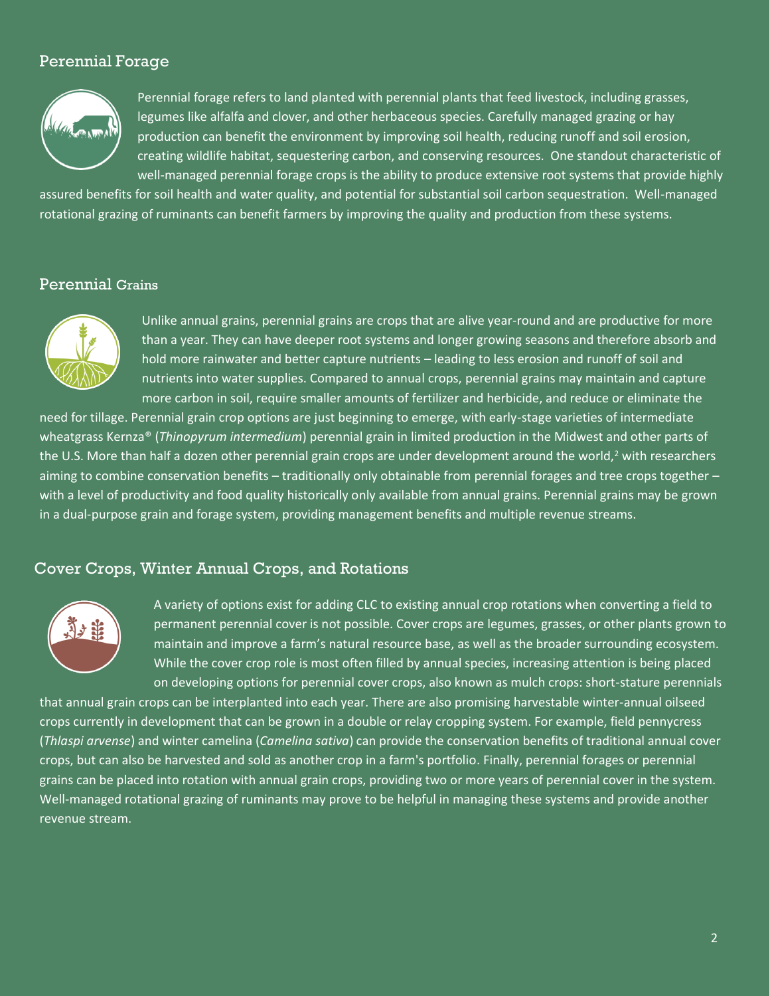## Perennial Forage



Perennial forage refers to land planted with perennial plants that feed livestock, including grasses, legumes like alfalfa and clover, and other herbaceous species. Carefully managed grazing or hay production can benefit the environment by improving soil health, reducing runoff and soil erosion, creating wildlife habitat, sequestering carbon, and conserving resources. One standout characteristic of well-managed perennial forage crops is the ability to produce extensive root systems that provide highly

assured benefits for soil health and water quality, and potential for substantial soil carbon sequestration. Well-managed rotational grazing of ruminants can benefit farmers by improving the quality and production from these systems.

#### Perennial Grains



Unlike annual grains, perennial grains are crops that are alive year-round and are productive for more than a year. They can have deeper root systems and longer growing seasons and therefore absorb and hold more rainwater and better capture nutrients – leading to less erosion and runoff of soil and nutrients into water supplies. Compared to annual crops, perennial grains may maintain and capture more carbon in soil, require smaller amounts of fertilizer and herbicide, and reduce or eliminate the

need for tillage. Perennial grain crop options are just beginning to emerge, with early-stage varieties of intermediate wheatgrass Kernza® (*Thinopyrum intermedium*) perennial grain in limited production in the Midwest and other parts of the U.S. More than half a dozen other perennial grain crops are under development around the world,<sup>2</sup> with researchers aiming to combine conservation benefits – traditionally only obtainable from perennial forages and tree crops together – with a level of productivity and food quality historically only available from annual grains. Perennial grains may be grown in a dual-purpose grain and forage system, providing management benefits and multiple revenue streams.

### Cover Crops, Winter Annual Crops, and Rotations



A variety of options exist for adding CLC to existing annual crop rotations when converting a field to permanent perennial cover is not possible. Cover crops are legumes, grasses, or other plants grown to maintain and improve a farm's natural resource base, as well as the broader surrounding ecosystem. While the cover crop role is most often filled by annual species, increasing attention is being placed on developing options for perennial cover crops, also known as mulch crops: short-stature perennials

that annual grain crops can be interplanted into each year. There are also promising harvestable winter-annual oilseed crops currently in development that can be grown in a double or relay cropping system. For example, field pennycress (*Thlaspi arvense*) and winter camelina (*Camelina sativa*) can provide the conservation benefits of traditional annual cover crops, but can also be harvested and sold as another crop in a farm's portfolio. Finally, perennial forages or perennial grains can be placed into rotation with annual grain crops, providing two or more years of perennial cover in the system. Well-managed rotational grazing of ruminants may prove to be helpful in managing these systems and provide another revenue stream.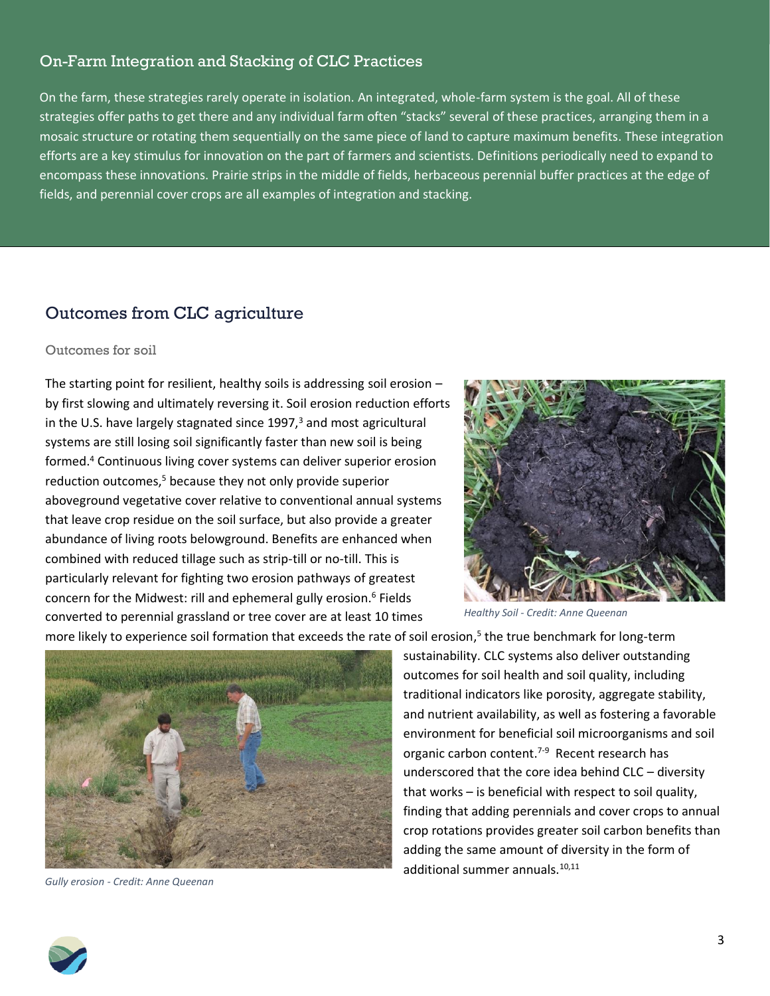## On-Farm Integration and Stacking of CLC Practices

On the farm, these strategies rarely operate in isolation. An integrated, whole-farm system is the goal. All of these strategies offer paths to get there and any individual farm often "stacks" several of these practices, arranging them in a mosaic structure or rotating them sequentially on the same piece of land to capture maximum benefits. These integration efforts are a key stimulus for innovation on the part of farmers and scientists. Definitions periodically need to expand to encompass these innovations. Prairie strips in the middle of fields, herbaceous perennial buffer practices at the edge of fields, and perennial cover crops are all examples of integration and stacking.

# Outcomes from CLC agriculture

#### Outcomes for soil

The starting point for resilient, healthy soils is addressing soil erosion – by first slowing and ultimately reversing it. Soil erosion reduction efforts in the U.S. have largely stagnated since  $1997<sup>3</sup>$  and most agricultural systems are still losing soil significantly faster than new soil is being formed. <sup>4</sup> Continuous living cover systems can deliver superior erosion reduction outcomes,<sup>5</sup> because they not only provide superior aboveground vegetative cover relative to conventional annual systems that leave crop residue on the soil surface, but also provide a greater abundance of living roots belowground. Benefits are enhanced when combined with reduced tillage such as strip-till or no-till. This is particularly relevant for fighting two erosion pathways of greatest concern for the Midwest: rill and ephemeral gully erosion.<sup>6</sup> Fields converted to perennial grassland or tree cover are at least 10 times



*Healthy Soil - Credit: Anne Queenan*

more likely to experience soil formation that exceeds the rate of soil erosion, 5 the true benchmark for long-term



*Gully erosion - Credit: Anne Queenan*

sustainability. CLC systems also deliver outstanding outcomes for soil health and soil quality, including traditional indicators like porosity, aggregate stability, and nutrient availability, as well as fostering a favorable environment for beneficial soil microorganisms and soil organic carbon content.<sup>7-9</sup> Recent research has underscored that the core idea behind CLC – diversity that works – is beneficial with respect to soil quality, finding that adding perennials and cover crops to annual crop rotations provides greater soil carbon benefits than adding the same amount of diversity in the form of additional summer annuals.10,11

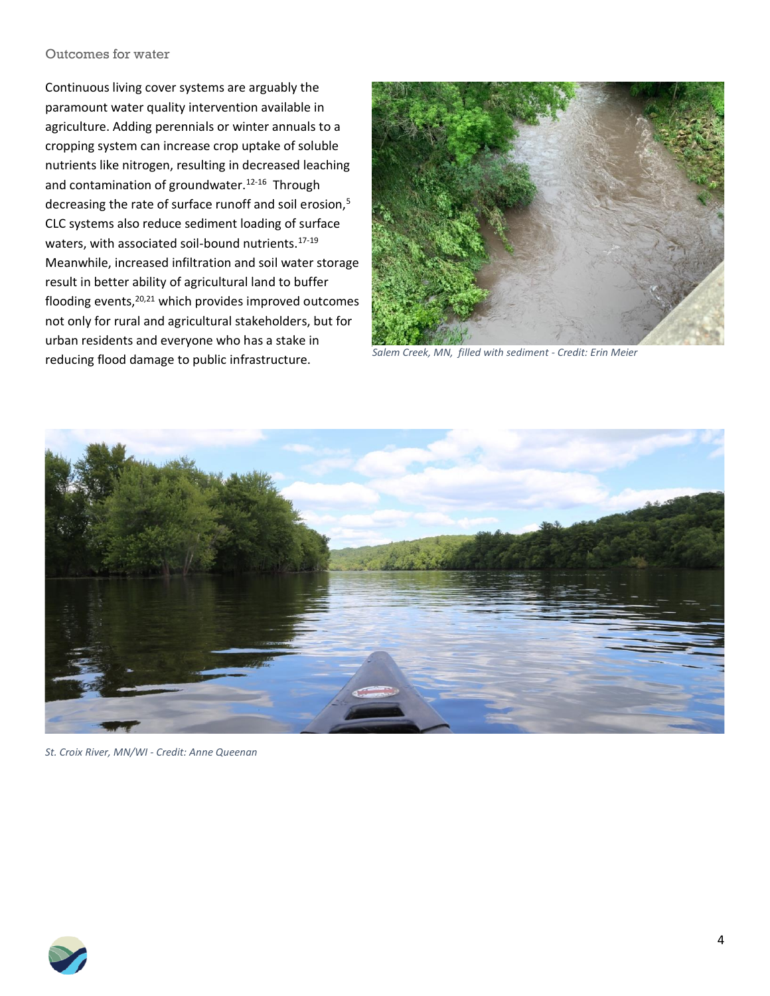#### Outcomes for water

Continuous living cover systems are arguably the paramount water quality intervention available in agriculture. Adding perennials or winter annuals to a cropping system can increase crop uptake of soluble nutrients like nitrogen, resulting in decreased leaching and contamination of groundwater.<sup>12-16</sup> Through decreasing the rate of surface runoff and soil erosion,<sup>5</sup> CLC systems also reduce sediment loading of surface waters, with associated soil-bound nutrients.<sup>17-19</sup> Meanwhile, increased infiltration and soil water storage result in better ability of agricultural land to buffer flooding events,20,21 which provides improved outcomes not only for rural and agricultural stakeholders, but for urban residents and everyone who has a stake in reducing flood damage to public infrastructure.



*Salem Creek, MN, filled with sediment - Credit: Erin Meier*



*St. Croix River, MN/WI - Credit: Anne Queenan*

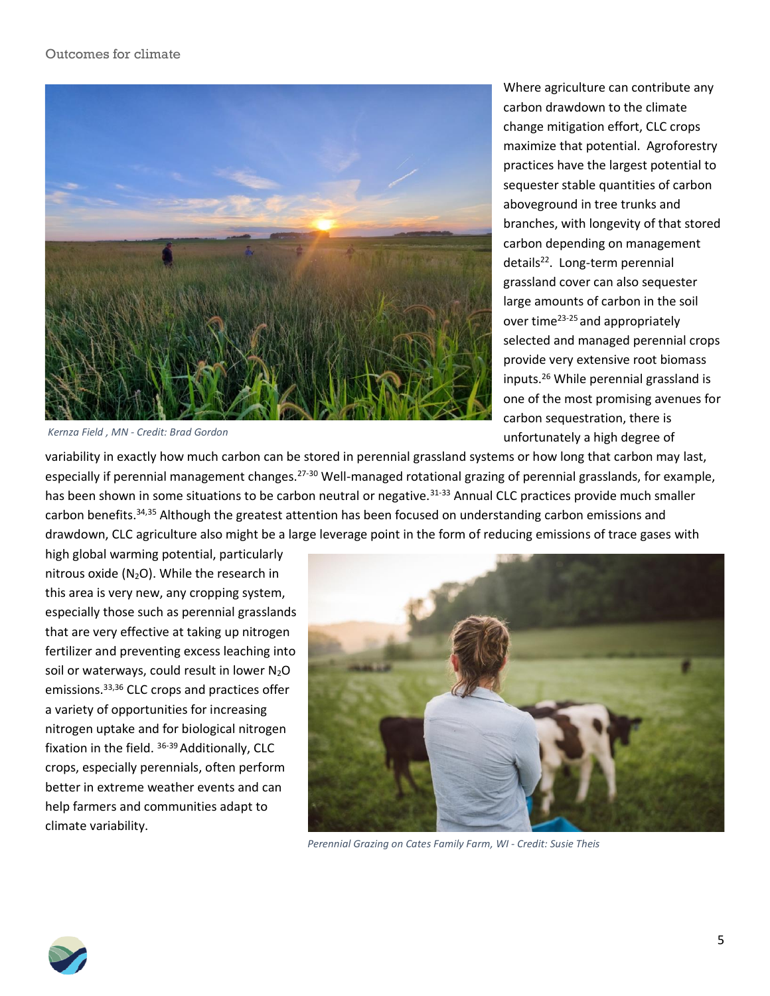

*Kernza Field , MN - Credit: Brad Gordon*

Where agriculture can contribute any carbon drawdown to the climate change mitigation effort, CLC crops maximize that potential. Agroforestry practices have the largest potential to sequester stable quantities of carbon aboveground in tree trunks and branches, with longevity of that stored carbon depending on management details<sup>22</sup>. Long-term perennial grassland cover can also sequester large amounts of carbon in the soil over time<sup>23-25</sup> and appropriately selected and managed perennial crops provide very extensive root biomass inputs.<sup>26</sup> While perennial grassland is one of the most promising avenues for carbon sequestration, there is unfortunately a high degree of

variability in exactly how much carbon can be stored in perennial grassland systems or how long that carbon may last, especially if perennial management changes.<sup>27-30</sup> Well-managed rotational grazing of perennial grasslands, for example, has been shown in some situations to be carbon neutral or negative.<sup>31-33</sup> Annual CLC practices provide much smaller carbon benefits.<sup>34,35</sup> Although the greatest attention has been focused on understanding carbon emissions and drawdown, CLC agriculture also might be a large leverage point in the form of reducing emissions of trace gases with

high global warming potential, particularly nitrous oxide  $(N_2O)$ . While the research in this area is very new, any cropping system, especially those such as perennial grasslands that are very effective at taking up nitrogen fertilizer and preventing excess leaching into soil or waterways, could result in lower  $N_2O$ emissions.33,36 CLC crops and practices offer a variety of opportunities for increasing nitrogen uptake and for biological nitrogen fixation in the field. 36-39 Additionally, CLC crops, especially perennials, often perform better in extreme weather events and can help farmers and communities adapt to climate variability.



*Perennial Grazing on Cates Family Farm, WI - Credit: Susie Theis*